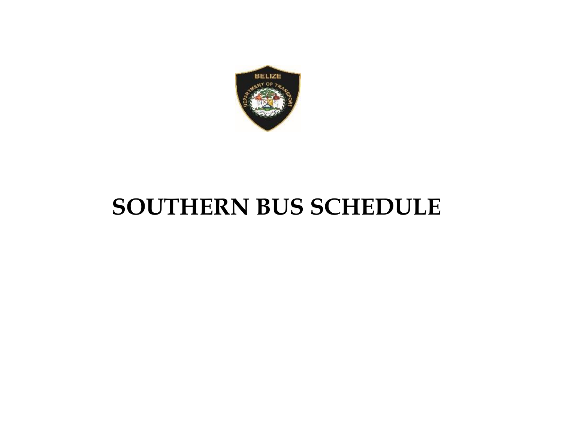

## **SOUTHERN BUS SCHEDULE**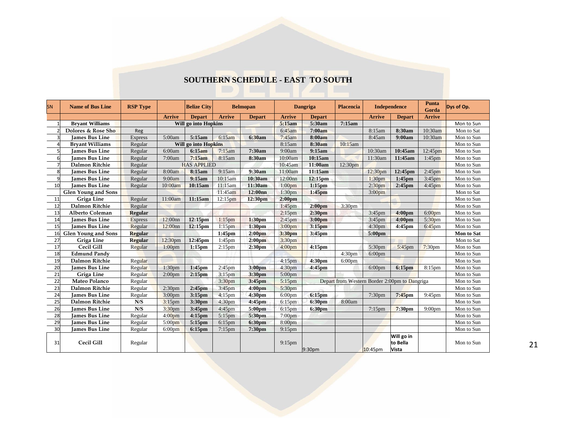## **SOUTHERN SCHEDULE - EAST TO SOUTH**

| <b>SN</b> | <b>Name of Bus Line</b>    | <b>RSP Type</b> |                      | <b>Belize City</b>          |                      | <b>Belmopan</b>     | <b>Dangriga</b>    |                     | Placencia          | <b>Independence</b> |                                               | <b>Punta</b><br>Gorda | Dys of Op. |
|-----------|----------------------------|-----------------|----------------------|-----------------------------|----------------------|---------------------|--------------------|---------------------|--------------------|---------------------|-----------------------------------------------|-----------------------|------------|
|           |                            |                 | <b>Arrive</b>        | <b>Depart</b>               | <b>Arrive</b>        | <b>Depart</b>       | <b>Arrive</b>      | <b>Depart</b>       |                    | <b>Arrive</b>       | <b>Depart</b>                                 | <b>Arrive</b>         |            |
|           | <b>Brvant Williams</b>     |                 | Will go into Hopkins |                             |                      |                     | 5:15am             | 5:30am              | 7:15am             |                     |                                               |                       | Mon to Sun |
|           | Dolores & Rose Sho         | Reg             |                      |                             |                      |                     | 6:45am             | 7:00am              |                    | 8:15am              | 8:30am                                        | 10:30am               | Mon to Sat |
|           | <b>James Bus Line</b>      | <b>Express</b>  | 5:00am               | 5:15am                      | 6:15am               | 6:30am              | 7:45am             | 8:00am              |                    | 8:45am              | 9:00am                                        | 10:30am               | Mon to Sun |
|           | <b>Brvant Williams</b>     | Regular         |                      | <b>Will go into Hopkins</b> |                      |                     | 8:15am             | 8:30am              | 10:15am            |                     |                                               |                       | Mon to Sun |
|           | <b>James Bus Line</b>      | Regular         | 6:00am               | 6:15am                      | 7:15am               | 7:30am              | 9:00am             | 9:15am              |                    | 10:30am             | 10:45am                                       | 12:45pm               | Mon to Sun |
| 6         | <b>Iames Bus Line</b>      | Regular         | 7:00am               | 7:15am                      | 8:15am               | 8:30am              | 10:00am            | 10:15am             |                    | 11:30am             | 11:45am                                       | 1:45 <sub>pm</sub>    | Mon to Sun |
|           | <b>Dalmon Ritchie</b>      | Regular         | <b>HAS APPLIED</b>   |                             |                      |                     | 10:45am            | 11:00am             | 12:30pm            |                     |                                               |                       | Mon to Sun |
| 8         | <b>James Bus Line</b>      | Regular         | 8:00am               | 8:15am                      | 9:15am               | 9:30am              | 11:00am            | 11:15am             |                    | 12:30 <sub>pm</sub> | 12:45pm                                       | 2:45 <sub>pm</sub>    | Mon to Sun |
| 9         | <b>Iames Bus Line</b>      | Regular         | 9:00am               | 9:15am                      | 10:15am              | 10:30am             | 12:00nn            | 12:15 <sub>pm</sub> |                    | 1:30 <sub>pm</sub>  | $1:45$ pm                                     | 3:45 <sub>pm</sub>    | Mon to Sun |
| 10        | <b>Iames Bus Line</b>      | Regular         | 10:00am              | 10:15am                     | 11:15am              | 11:30am             | 1:00 <sub>pm</sub> | $1:15$ pm           |                    | 2:30 <sub>pm</sub>  | $2:45$ pm                                     | $4:45$ pm             | Mon to Sun |
|           | <b>Glen Young and Sons</b> |                 |                      |                             | 11:45am              | 12:00nn             | 1:30 <sub>pm</sub> | $1:45$ pm           |                    | 3:00 <sub>pm</sub>  |                                               |                       | Mon to Sat |
| 11        | Griga Line                 | Regular         | 11:00am              | 11:15am                     | 12:15 <sub>pm</sub>  | 12:30 <sub>pm</sub> | 2:00 <sub>pm</sub> |                     |                    |                     |                                               |                       | Mon to Sun |
| 12        | <b>Dalmon Ritchie</b>      | Regular         |                      |                             |                      |                     | $1:45$ pm          | 2:00 <sub>pm</sub>  | 3:30 <sub>pm</sub> |                     |                                               |                       | Mon to Sun |
| 13        | <b>Alberto Coleman</b>     | <b>Regular</b>  |                      |                             |                      |                     | 2:15 <sub>pm</sub> | 2:30 <sub>pm</sub>  |                    | $3:45$ pm           | 4:00 <sub>pm</sub>                            | 6:00 <sub>pm</sub>    | Mon to Sun |
| 14        | <b>Iames Bus Line</b>      | <b>Express</b>  | 12:00nn              | 12:15pm                     | $1:15$ pm            | 1:30 <sub>pm</sub>  | $2:45$ pm          | 3:00 <sub>pm</sub>  |                    | $3:45$ pm           | 4:00 <sub>pm</sub>                            | 5:30 <sub>pm</sub>    | Mon to Sun |
| 15        | <b>Iames Bus Line</b>      | Regular         | 12:00nn              | $12:15$ pm                  | $1:15$ pm            | 1:30 <sub>pm</sub>  | 3:00 <sub>pm</sub> | 3:15 <sub>pm</sub>  |                    | 4:30 <sub>pm</sub>  | $4:45$ pm                                     | $6:45$ pm             | Mon to Sun |
| 16        | <b>Glen Young and Sons</b> | <b>Regular</b>  |                      |                             | $1:45$ pm            | 2:00 <sub>pm</sub>  | 3:30pm             | 3:45pm              |                    | 5:00pm              |                                               |                       | Mon to Sat |
| 27        | Griga Line                 | Regular         | 12:30 <sub>pm</sub>  | 12:45pm                     | $1:45$ pm            | 2:00 <sub>pm</sub>  | 3:30 <sub>pm</sub> |                     |                    |                     |                                               |                       | Mon to Sat |
| 17        | Cecil Gill                 | Regular         | 1:00 <sub>pm</sub>   | $1:15$ pm                   | $2:15$ <sub>pm</sub> | 2:30 <sub>pm</sub>  | 4:00 <sub>pm</sub> | $4:15$ pm           |                    | 5:30pm              | 5:45pm                                        | 7:30 <sub>pm</sub>    | Mon to Sun |
| 18        | <b>Edmund Pandy</b>        |                 |                      |                             |                      |                     |                    |                     | 4:30 <sub>pm</sub> | $6:00$ pm           |                                               |                       | Mon to Sun |
| 19        | <b>Dalmon Ritchie</b>      | Regular         |                      |                             |                      |                     | 4:15 <sub>pm</sub> | 4:30pm              | $6:00$ pm          |                     |                                               |                       | Mon to Sun |
| 20        | <b>James Bus Line</b>      | Regular         | 1:30 <sub>pm</sub>   | $1:45$ pm                   | $2:45$ pm            | 3:00 <sub>pm</sub>  | 4:30 <sub>pm</sub> | 4:45pm              |                    | $6:00$ pm           | 6:15pm                                        | $8:15$ pm             | Mon to Sun |
| 21        | Griga Line                 | Regular         | 2:00 <sub>pm</sub>   | $2:15$ pm                   | $3:15$ pm            | 3:30pm              | $5:00$ pm          |                     |                    |                     |                                               |                       | Mon to Sun |
| 22        | Mateo Polanco              | Regular         |                      |                             | 3:30 <sub>pm</sub>   | 3:45pm              | $5:15$ pm          |                     |                    |                     | Depart from Western Border 2:00pm to Dangriga |                       | Mon to Sun |
| 23        | <b>Dalmon Ritchie</b>      | Regular         | 2:30 <sub>pm</sub>   | $2:45$ pm                   | $3:45$ pm            | 4:00 <sub>pm</sub>  | 5:30pm             |                     |                    |                     |                                               |                       | Mon to Sun |
| 24        | <b>James Bus Line</b>      | Regular         | 3:00 <sub>pm</sub>   | $3:15$ pm                   | $4:15$ pm            | 4:30pm              | $6:00$ pm          | 6:15pm              |                    | 7:30 <sub>pm</sub>  | $7:45$ pm                                     | 9:45pm                | Mon to Sun |
| 25        | <b>Dalmon Ritchie</b>      | N/S             | $3:15$ pm            | 3:30pm                      | 4:30 <sub>pm</sub>   | $4:45$ pm           | $6:15$ pm          | 6:30pm              | 8:00am             |                     |                                               |                       | Mon to Sun |
| 26        | <b>James Bus Line</b>      | N/S             | 3:30 <sub>pm</sub>   | 3:45pm                      | $4:45$ pm            | 5:00pm              | $6:15$ pm          | 6:30pm              |                    | $7:15$ pm           | 7:30 <sub>pm</sub>                            | 9:00 <sub>pm</sub>    | Mon to Sun |
| 28        | <b>James Bus Line</b>      | Regular         | 4:00 <sub>pm</sub>   | $4:15$ pm                   | $5:15$ pm            | 5:30pm              | 7:00 <sub>pm</sub> |                     |                    |                     |                                               |                       | Mon to Sun |
| 29        | <b>James Bus Line</b>      | Regular         | 5:00 <sub>pm</sub>   | $5:15$ pm                   | $6:15$ pm            | 6:30pm              | 8:00pm             |                     |                    |                     |                                               |                       | Mon to Sun |
| 30        | James Bus Line             | Regular         | 6:00 <sub>pm</sub>   | 6:15pm                      | $7:15$ pm            | 7:30pm              | $9:15$ pm          |                     |                    |                     |                                               |                       | Mon to Sun |
| 31        | Cecil Gill                 | Regular         |                      |                             |                      |                     | $9:15$ pm          | 9:30pm              |                    | 10:45pm             | Will go in<br>to Bella<br>Vista               |                       | Mon to Sun |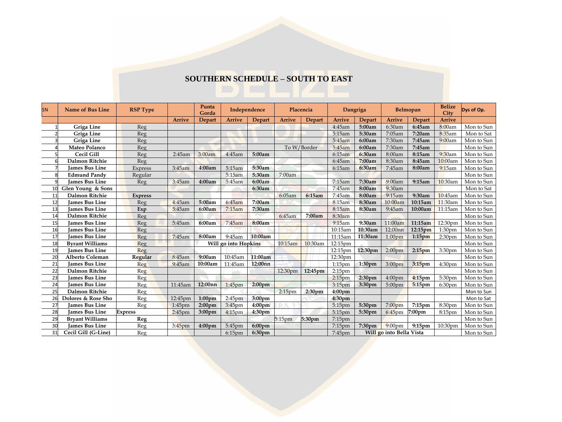## **SOUTHERN SCHEDULE – SOUTH TO EAST**

| SN              | <b>Name of Bus Line</b> | <b>RSP Type</b> |               | Punta<br>Gorda       | Independence       |                    | Placencia          |                    | Dangriga           |                    | Belmopan                 |                    | <b>Belize</b><br>City | Dys of Op. |
|-----------------|-------------------------|-----------------|---------------|----------------------|--------------------|--------------------|--------------------|--------------------|--------------------|--------------------|--------------------------|--------------------|-----------------------|------------|
|                 |                         |                 | <b>Arrive</b> | <b>Depart</b>        | <b>Arrive</b>      | <b>Depart</b>      | <b>Arrive</b>      | Depart             | <b>Arrive</b>      | Depart             | <b>Arrive</b>            | Depart             | <b>Arrive</b>         |            |
|                 | Griga Line              | Reg             |               |                      |                    |                    |                    |                    | 4:45am             | 5:00am             | 6:30am                   | 6:45am             | 8:00am                | Mon to Sun |
|                 | Griga Line              | Reg             |               |                      |                    |                    |                    |                    | 5:15am             | 5:30am             | 7:05am                   | 7:20am             | 8:35am                | Mon to Sat |
|                 | Griga Line              | Reg             |               |                      |                    |                    |                    |                    | 5:45am             | 6:00am             | 7:30am                   | 7:45am             | 9:00am                | Mon to Sun |
|                 | Mateo Polanco           | Reg             |               |                      |                    |                    |                    | To W/Border        | 5:45am             | 6:00am             | 7:30am                   | 7:45am             |                       | Mon to Sun |
|                 | Cecil Gill              | Reg             | 2:45am        | 3:00am               | 4:45am             | 5:00am             |                    |                    | 6:15am             | 6:30am             | 8:00am                   | 8:15am             | 9:30am                | Mon to Sun |
|                 | <b>Dalmon Ritchie</b>   | Reg             |               |                      |                    |                    |                    |                    | 6:45am             | 7:00am             | 8:30am                   | 8:45am             | 10:00am               | Mon to Sun |
|                 | <b>James Bus Line</b>   | Express         | 3:45am        | 4:00am               | 5:15am             | 5:30am             |                    |                    | 6:15am             | 6:30am             | 7:45am                   | 8:00am             | 9:15am                | Mon to Sun |
| 8               | <b>Edmund Pandy</b>     | Regular         |               |                      | 5:15am             | 5:30am             | 7:00am             |                    |                    |                    |                          |                    |                       | Mon to Sun |
| 9               | <b>James Bus Line</b>   | Reg             | 3:45am        | 4:00am               | 5:45am             | 6:00am             |                    |                    | 7:15am             | 7:30am             | 9:00am                   | 9:15am             | 10:30am               | Mon to Sun |
| 10              | Glen Young & Sons       |                 |               |                      |                    | 6:30am             |                    |                    | 7:45am             | 8:00am             | 9:30am                   |                    |                       | Mon to Sat |
| 11              | Dalmon Ritchie          | <b>Express</b>  |               |                      |                    |                    | 6:05am             | 6:15am             | 7:45am             | 8:00am             | 9:15am                   | 9:30am             | 10:45am               | Mon to Sun |
| 12              | <b>James Bus Line</b>   | Reg             | 4:45am        | 5:00am               | 6:45am             | 7:00am             |                    |                    | 8:15am             | 8:30am             | 10:00am                  | 10:15am            | 11:30am               | Mon to Sun |
| 13              | <b>James Bus Line</b>   | Exp             | 5:45am        | 6:00am               | 7:15am             | 7:30am             |                    |                    | 8:15am             | 8:30am             | 9:45am                   | 10:00am            | 11:15am               | Mon to Sun |
| 14              | <b>Dalmon Ritchie</b>   | Reg             |               |                      |                    |                    | 6:45am             | 7:00am             | 8:30am             |                    |                          |                    |                       | Mon to Sun |
| 15              | <b>Iames Bus Line</b>   | Reg             | 5:45am        | 6:00am               | 7:45am             | 8:00am             |                    |                    | 9:15am             | 9:30am             | 11:00am                  | 11:15am            | 12:30pm               | Mon to Sun |
| 16              | <b>James Bus Line</b>   | Reg             |               |                      |                    |                    |                    |                    | 10:15am            | 10:30am            | 12:00nn                  | 12:15pm            | 1:30 <sub>pm</sub>    | Mon to Sun |
| 17              | <b>James Bus Line</b>   | Reg             | 7:45am        | 8:00am               | 9:45am             | 10:00am            |                    |                    | 11:15am            | 11:30am            | $1:00$ pm                | $1:15$ pm          | 2:30 <sub>pm</sub>    | Mon to Sun |
| 18              | <b>Byrant Williams</b>  | Reg             |               | Will go into Hopkins |                    |                    | 10:15am            | 10:30am            | 12:15pm            |                    |                          |                    |                       | Mon to Sun |
| 19              | <b>James Bus Line</b>   | Reg             |               |                      |                    |                    |                    |                    | 12:15pm            | 12:30pm            | 2:00 <sub>pm</sub>       | 2:15 <sub>pm</sub> | 3:30 <sub>pm</sub>    | Mon to Sun |
| 20              | <b>Alberto Coleman</b>  | Regular         | 8:45am        | 9:00am               | 10:45am            | 11:00am            |                    |                    | 12:30pm            |                    |                          |                    |                       | Mon to Sun |
| 21              | <b>James Bus Line</b>   | Reg             | 9:45am        | 10:00am              | 11:45am            | 12:00nn            |                    |                    | $1:15$ pm          | 1:30 <sub>pm</sub> | 3:00 <sub>pm</sub>       | $3:15$ pm          | 4:30 <sub>pm</sub>    | Mon to Sun |
| 22              | <b>Dalmon Ritchie</b>   | Reg             |               |                      |                    |                    | 12:30pm            | 12:45pm            | 2:15 <sub>pm</sub> |                    |                          |                    |                       | Mon to Sun |
| 23              | <b>Iames Bus Line</b>   | Reg             |               |                      |                    |                    |                    |                    | 2:15 <sub>pm</sub> | 2:30 <sub>pm</sub> | 4:00 <sub>pm</sub>       | $4:15$ pm          | 5:30pm                | Mon to Sun |
| 24              | <b>Iames Bus Line</b>   | Reg             | 11:45am       | 12:00nn              | $1:45$ pm          | 2:00 <sub>pm</sub> |                    |                    | 3:15 <sub>pm</sub> | 3:30pm             | $5:00$ pm                | 5:15pm             | 6:30 <sub>pm</sub>    | Mon to Sun |
| 25              | Dalmon Ritchie          | Reg             |               |                      |                    |                    | 2:15 <sub>pm</sub> | 2:30 <sub>pm</sub> | 4:00 <sub>pm</sub> |                    |                          |                    |                       | Mon to Sun |
| 26              | Dolores & Rose Sho      | Reg             | 12:45pm       | 1:00 <sub>pm</sub>   | 2:45 <sub>pm</sub> | 3:00 <sub>pm</sub> |                    |                    | 4:30 <sub>pm</sub> |                    |                          |                    |                       | Mon to Sat |
| 27              | <b>James Bus Line</b>   | Reg             | 1:45pm        | 2:00 <sub>pm</sub>   | 3:45pm             | 4:00 <sub>pm</sub> |                    |                    | 5:15pm             | 5:30pm             | 7:00 <sub>pm</sub>       | 7:15pm             | 8:30pm                | Mon to Sun |
| 28              | <b>James Bus Line</b>   | <b>Express</b>  | $2:45$ pm     | 3:00 <sub>pm</sub>   | $4:15$ pm          | 4:30 <sub>pm</sub> |                    |                    | 5:15pm             | 5:30pm             | $6:45$ pm                | 7:00pm             | $8:15$ pm             | Mon to Sun |
| 29              | <b>Bryant Williams</b>  | Reg             |               |                      |                    |                    | 5:15pm             | 5:30pm             | $7:15$ pm          |                    |                          |                    |                       | Mon to Sun |
| 30 <sup>1</sup> | <b>James Bus Line</b>   | Reg             | $3:45$ pm     | 4:00 <sub>pm</sub>   | 5:45pm             | $6:00$ pm          |                    |                    | 7:15pm             | 7:30pm             | $9:00$ pm                | 9:15pm             | 10:30pm               | Mon to Sun |
| 31              | Cecil Gill (G-Line)     | Reg             |               |                      | $6:15$ pm          | 6:30pm             | 7:45pm             |                    |                    |                    | Will go into Bella Vista |                    | Mon to Sun            |            |